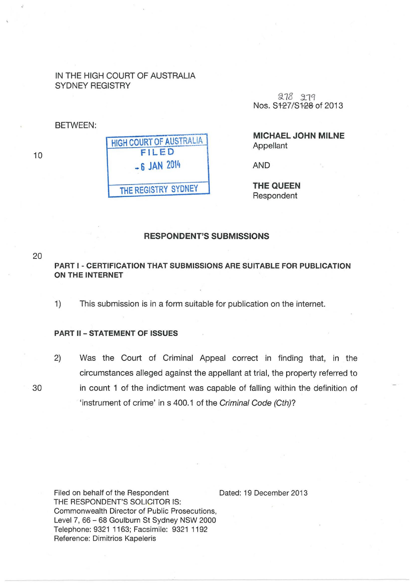### IN THE HIGH COURT OF AUSTRALIA SYDNEY REGISTRY

BETWEEN:

10

| <b>HIGH COURT OF AUSTRALIA</b> |
|--------------------------------|
| <b>FILED</b>                   |
| $-6$ JAN 2014                  |
| THE REGISTRY SYDNEY            |
|                                |

278 279 Nos. S127/S128 of 2013

MICHAEL JOHN MILNE Appellant

AND

THE QUEEN Respondent

# RESPONDENT'S SUBMISSIONS

20

# PART I- CERTIFICATION THAT SUBMISSIONS ARE SUITABLE FOR PUBLICATION ON THE INTERNET

1) This submission is in a form suitable for publication on the internet.

#### PART II- STATEMENT OF ISSUES

2) Was the Court of Criminal Appeal correct in finding that, in the circumstances alleged against the appellant at trial, the property referred to 30 in count 1 of the indictment was capable of falling within the definition of 'instrument of crime' in s 400.1 of the Criminal Code (Cth)?

Filed on behalf of the Respondent THE RESPONDENT'S SOLICITOR IS: Commonwealth Director of Public Prosecutions, Level 7, 66 - 68 Goulburn St Sydney NSW 2000 Telephone: 9321 1163; Facsimile: 93211192 Reference: Dimitrios Kapeleris

Dated: 19 December 2013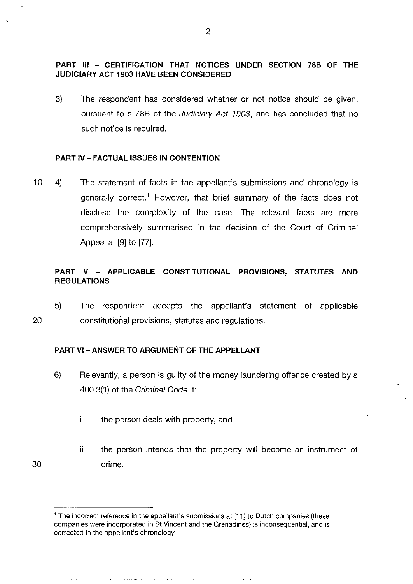# **PART** Ill - **CERTIFICATION THAT NOTICES UNDER SECTION 78B OF THE JUDICIARY ACT 1903 HAVE BEEN CONSIDERED**

3) The respondent has considered whether or not notice should be given, pursuant to s 788 of the Judiciary Act 1903, and has concluded that no such notice is required.

### **PART IV- FACTUAL ISSUES IN CONTENTION**

10 4) The statement of facts in the appellant's submissions and chronology is generally correct.' However, that brief summary of the facts does not disclose the complexity of the case. The relevant facts are more comprehensively summarised in the decision of the Court of Criminal Appeal at [9] to [77].

# **PART V - APPLICABLE CONSTITUTIONAL PROVISIONS, STATUTES AND REGULATIONS**

20 5) The respondent accepts the appellant's statement of applicable constitutional provisions, statutes and regulations.

### **PART VI -ANSWER TO ARGUMENT OF THE APPELLANT**

- 6) Relevantly, a person is guilty of the money laundering offence created by s 400.3(1) of the Criminal Code if:
	- i. the person deals with property, and
- 30 ii the person intends that the property will become an instrument of crime.

<sup>&</sup>lt;sup>1</sup> The incorrect reference in the appellant's submissions at [11] to Dutch companies (these companies were incorporated in St Vincent and the Grenadines) is inconsequential, and is corrected in the appellant's chronology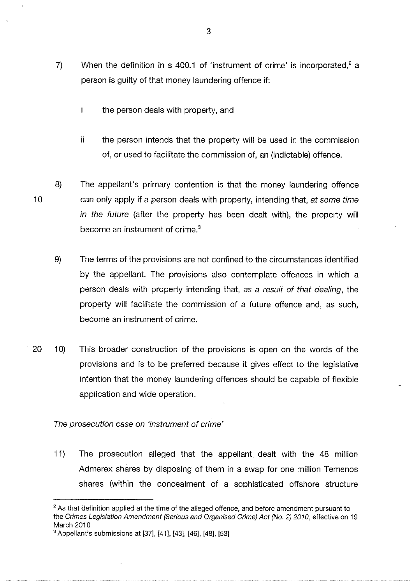- 7) When the definition in s 400.1 of 'instrument of crime' is incorporated,  $2a$ person is guilty of that money laundering offence if:
	- $\mathbf{i}$ the person deals with property, and
	- ii the person intends that the property will be used in the commission of, or used to facilitate the commission of, an (indictable) offence.
- 10 8) The appellant's primary contention is that the money laundering offence can only apply if a person deals with property, intending that, at some time in the future (after the property has been dealt with), the property will become an instrument of crime. <sup>3</sup>
	- 9) The terms of the provisions are not confined to the circumstances identified by the appellant. The provisions also contemplate offences in which a person deals with property intending that, as a result of that dealing, the property will facilitate the commission of a future offence and, as such, become an instrument of crime.
- 20 10) This broader construction of the provisions is open on the words of the provisions and is to be preferred because it gives effect to the legislative intention that the money laundering offences should be capable of flexible application and wide operation.

The prosecution case on 'instrument of crime'

11) The prosecution alleged that the appellant dealt with the 48 million Admerex shares by disposing of them in a swap for one million Temenos shares (within the concealment of a sophisticated offshore structure

<sup>&</sup>lt;sup>2</sup> As that definition applied at the time of the alleged offence, and before amendment pursuant to the Crimes Legislation Amendment (Serious and Organised Crime) Act (No.2) 2010, effective on 19 March 2010

<sup>3</sup>Appellant's submissions at [37], [41], [43], [46], [48], [53]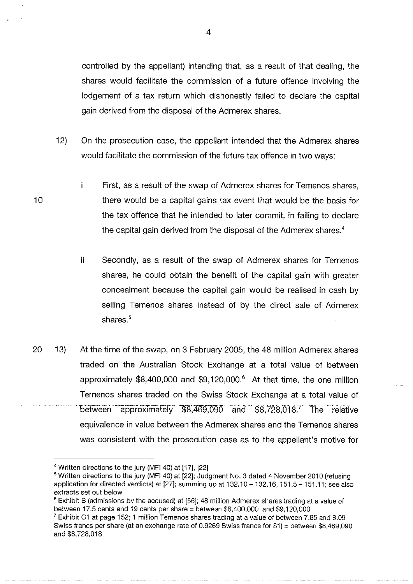controlled by the appellant) intending that, as a result of that dealing, the shares would facilitate the commission of a future offence involving the lodgement of a tax return which dishonestly failed to declare the capital gain derived from the disposal of the Admerex shares.

4

- 12) On the prosecution case, the appellant intended that the Admerex shares would facilitate the commission of the future tax offence in two ways:
	- j. First, as a result of the swap of Admerex shares for Temenos shares, there would be a capital gains tax event that would be the basis for the tax offence that he intended to later commit, in failing to declare the capital gain derived from the disposal of the Admerex shares.<sup>4</sup>
		- ii Secondly, as a result of the swap of Admerex shares for Temenos shares, he could obtain the benefit of the capital gain with greater concealment because the capital gain would be realised in cash by selling Temenos shares instead of by the direct sale of Admerex shares.<sup>5</sup>
- 20 13) At the time of the swap, on 3 February 2005, the 48 million Admerex shares traded on the Australian Stock Exchange at a total value of between approximately  $$8,400,000$  and  $$9,120,000$ .<sup>6</sup> At that time, the one million Temenos shares traded on the Swiss Stock Exchange at a total value of between approximately \$8,469,090 and \$8,728,018.<sup>7</sup> The relative equivalence in value between the Admerex shares and the Temenos shares was consistent with the prosecution case as to the appellant's motive for

<sup>4</sup> Written directions to the jury (MFI 40) at [17], [22]

<sup>&</sup>lt;sup>5</sup> Written directions to the jury (MFI 40) at [22]; Judgment No. 3 dated 4 November 2010 (refusing application for directed verdicts) at  $[27]$ ; summing up at  $132.10 - 132.16$ ,  $151.5 - 151.11$ ; see also extracts set out below

<sup>&</sup>lt;sup>6</sup> Exhibit B (admissions by the accused) at [56]; 48 million Admerex shares trading at a value of between 17.5 cents and 19 cents per share= between \$8,400,000 and \$9,120,000

<sup>&</sup>lt;sup>7</sup> Exhibit C1 at page 152; 1 million Temenos shares trading at a value of between 7.85 and 8.09 Swiss francs per share (at an exchange rate of 0.9269 Swiss francs for  $$1$ ) = between \$8,469,090 and \$8,728,018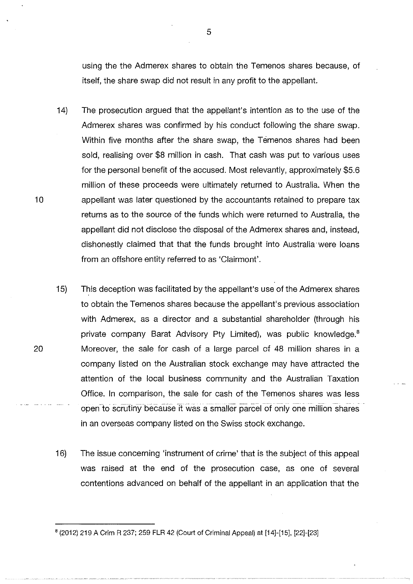using the the Admerex shares to obtain the Temenos shares because, of itself, the share swap did not result in any profit to the appellant.

- 14) The prosecution argued that the appellant's intention as to the use of the Admerex shares was confirmed by his conduct following the share swap. Within five months after the share swap, the Temenos shares had been sold, realising over \$8 million in cash. That cash was put to various uses for the personal benefit of the accused. Most relevantly, approximately \$5.6 million of these proceeds were ultimately returned to Australia. When the 10 **appellant was later questioned by the accountants retained to prepare tax** returns as to the source of the funds which were returned to Australia, the appellant did not disclose the disposal of the Admerex shares and, instead, dishonestly claimed that that the funds brought into Australia· were loans from an offshore entity referred to as 'Clairmont'.
- 15) This deception was facilitated by the appellant's use of the Admerex shares to obtain the Temenos shares because the appellant's previous association with Admerex, as a director and a substantial shareholder (through his private company Barat Advisory Pty Limited), was public knowledge.<sup>8</sup> 20 Moreover, the sale for cash of a large parcel of 48 million shares in a company listed on the Australian stock exchange may have attracted the attention of the local business community and the Australian Taxation Office. In comparison, the sale for cash of the Temenos shares was less open to scrutiny because it was a smaller parcel of only one million shares in an overseas company listed on the Swiss stock exchange.
	- 16) The issue concerning 'instrument of crime' that is the subject of this appeal was raised at the end of the prosecution case, as one of several contentions advanced on behalf of the appellant in an application that the

<sup>8</sup> (2012) 219 A Grim R 237; 259 FLR 42 (Court of Criminal Appeal) at [14]-[15], [22]-[23]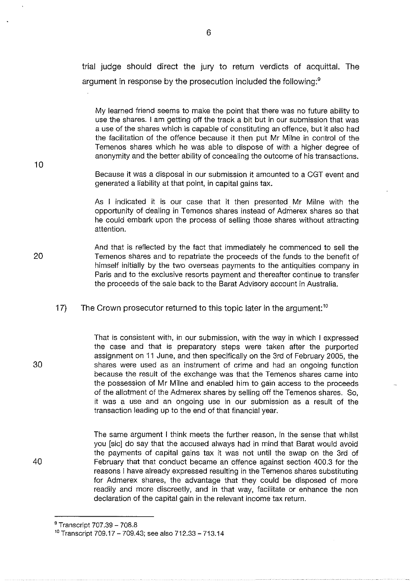trial judge should direct the jury to return verdicts of acquittal. The argument in response by the prosecution included the following:<sup>9</sup>

My learned friend seems to make the point that there was no future ability to use the shares. I am getting off the track a bit but in our submission that was a use of the shares which is capable of constituting an offence, but it also had the facilitation of the offence because it then put Mr Milne in control of the Temenos shares which he was able to dispose of with a higher degree of anonymity and the better ability of concealing the outcome of his transactions.

Because it was a disposal in our submission it amounted to a CGT event and generated a liability at that point, in capital gains tax.

As I indicated it is our case that it then presented Mr Milne with the opportunity of dealing in Temenos shares instead of Admerex shares so that he could embark upon the process of selling those shares without attracting attention.

And that is reflected by the fact that immediately he commenced to sell the Temenos shares and to repatriate the proceeds of the funds to the benefit of himself initially by the two overseas payments to the antiquities company in Paris and to the exclusive resorts payment and thereafter continue to transfer the proceeds of the sale back to the Barat Advisory account in Australia.

17) The Crown prosecutor returned to this topic later in the argument:<sup>10</sup>

> That is consistent with, in our submission, with the way in which I expressed the case and that is preparatory steps were taken after the purported assignment on 11 June, and then specifically on the 3rd of February 2005, the shares were used as an instrument of crime and had an ongoing function because the result of the exchange was that the Temenos shares came into the possession of Mr Milne and enabled him to gain access to the proceeds of the allotment of the Admerex shares by selling off the Temenos shares. So, it was a use and an ongoing use in our submission as a result of the transaction leading up to the end of that financial year.

> The same argument I think meets the further reason, in the sense that whilst you [sic] do say that the accused always had in mind that Barat would avoid the payments of capital gains tax it was not until the swap on the 3rd of February that that conduct became an offence against section 400.3 for the reasons I have already expressed resulting in the Temenos shares substituting for Admerex shares, the advantage that they could be disposed of more readily and more discreetly, and in that way, facilitate or enhance the non declaration of the capital gain in the relevant income tax return.

20

10

30

<sup>&</sup>lt;sup>9</sup> Transcript 707.39 - 708.8

 $10$  Transcript 709.17 - 709.43; see also 712.33 - 713.14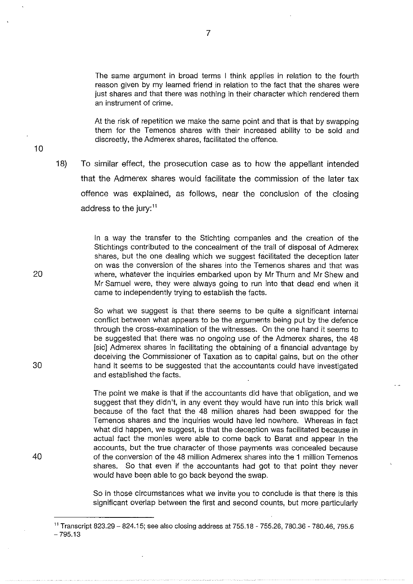The same argument in broad terms I think applies in relation to the fourth reason given by my learned friend in relation to the fact that the shares were just shares and that there was nothing in their character which rendered them an instrument of crime.

At the risk of repetition we make the same point and that is that by swapping them for the Temenos shares with their increased ability to be sold and discreetly, the Admerex shares, facilitated the offence.

10

18) To similar effect, the prosecution case as to how the appellant intended that the Admerex shares would facilitate the commission of the later tax offence was explained, as follows, near the conclusion of the closing address to the jury:<sup>11</sup>

> In a way the transfer to the Stichting companies and the creation of the Stichtings contributed to the concealment of the trail of disposal of Admerex shares, but the one dealing which we suggest facilitated the deception later on was the conversion of the shares into the Temenos shares and that was where, whatever the inquiries embarked upon by Mr Thurn and Mr Shew and Mr Samuel were, they were always going to run into that dead end when it came to independently trying to establish the facts.

> So what we suggest is that there seems to be quite a significant internal conflict between what appears to be the arguments being put by the defence through the cross-examination of the witnesses. On the one hand it seems to be suggested that there was no ongoing use of the Admerex shares, the 48 [sic] Admerex shares in facilitating the obtaining of a financial advantage by deceiving the Commissioner of Taxation as to capital gains, but on the other hand it seems to be suggested that the accountants could have investigated and established the facts.

> The point we make is that if the accountants did have that obligation, and we suggest that they didn't, in any event they would have run into this brick wall because of the fact that the 48 million shares had been swapped for the Temenos shares and the inquiries would have led nowhere. Whereas in fact what did happen, we suggest, is that the deception was facilitated because in actual fact the monies were able to come back to Barat and appear in the accounts, but the true character of those payments was concealed because of the conversion of the 48 million Admerex shares into the 1 million Temenos shares. So that even if the accountants had got to that point they never would have been able to go back beyond the swap.

> So in those circumstances what we invite you to conclude is that there is this significant overlap between the first and second counts, but more particularly

20

30

<sup>&</sup>lt;sup>11</sup> Transcript 823.29 - 824.15; see also closing address at 755.18 - 755.26, 780.36 - 780.46, 795.6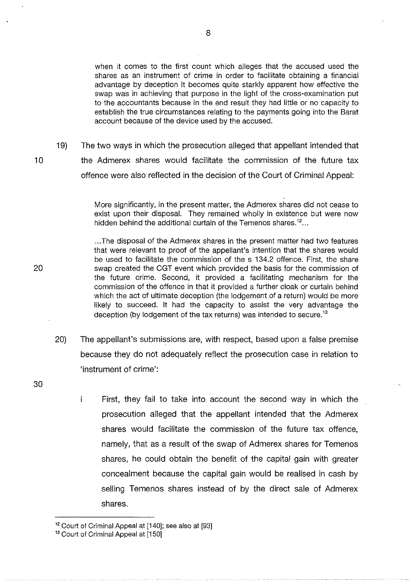when it comes to the first count which alleges that the accused used the shares as an instrument of crime in order to facilitate obtaining a financial advantage by deception it becomes quite starkly apparent how effective the swap was in achieving that purpose in the light of the cross-examination put to the accountants because in the end result they had little or no capacity to establish the true circumstances relating to the payments going into the Barat account because of the device used by the accused.

19) The two ways in which the prosecution alleged that appellant intended that the Admerex shares would facilitate the commission of the future tax offence were also reflected in the decision of the Court of Criminal Appeal:

> More significantly, in the present matter, the Admerex shares did not cease to exist upon their disposal. They remained wholly in existence but were now hidden behind the additional curtain of the Temenos shares.<sup>12</sup>...

> ... The disposal of the Admerex shares in the present matter had two features that were relevant to proof of the appellant's intention that the shares would be used to facilitate the commission of the s 134.2 offence. First, the share swap created the CGT event which provided the basis for the commission of the future crime. Second, it provided a facilitating mechanism for the commission of the offence in that it provided a further cloak or curtain behind which the act of ultimate deception (the lodgement of a return) would be more likely to succeed. It had the capacity to assist the very advantage the deception (by lodgement of the tax returns) was intended to secure.<sup>13</sup>

- 20) The appellant's submissions are, with respect, based upon a false premise because they do not adequately reflect the prosecution case in relation to 'instrument of crime':
	- $\mathbf{i}$ First, they fail to take into account the second way in which the prosecution alleged that the appellant intended that the Admerex shares would facilitate the commission of the future tax offence, namely, that as a result of the swap of Admerex shares for Temenos shares, he could obtain the benefit of the capital gain with greater concealment because the capital gain would be realised in cash by selling Temenos shares instead of by the direct sale of Admerex shares.

8

20

30

<sup>&</sup>lt;sup>12</sup> Court of Criminal Appeal at [140]; see also at [93]

<sup>&</sup>lt;sup>13</sup> Court of Criminal Appeal at [150]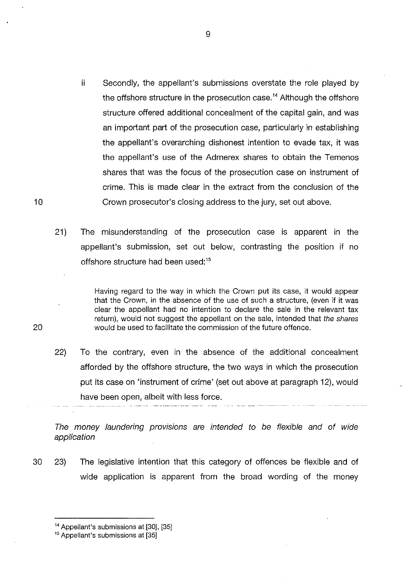- ii Secondly, the appellant's submissions overstate the role played by the offshore structure in the prosecution case.<sup> $14$ </sup> Although the offshore structure offered additional concealment of the capital gain, and was an important part of the prosecution case, particularly in establishing the appellant's overarching dishonest intention to evade tax, it was the appellant's use of the Admerex shares to obtain the Temenos shares that was the focus of the prosecution case on instrument of crime. This is made clear in the extract from the conclusion of the Crown prosecutor's closing address to the jury, set out above.
- 21) The misunderstanding of the prosecution case is apparent in the appellant's submission, set out below, contrasting the position if no offshore structure had been used:<sup>15</sup>

Having regard to the way in which the Crown put its case, it would appear that the Crown, in the absence of the use of such a structure, (even if it was clear the appellant had no intention to declare the sale in the relevant tax return), would not suggest the appellant on the sale, intended that the shares would be used to facilitate the commission of the future offence.

22) To the contrary, even in the absence of the additional concealment afforded by the offshore structure, the two ways in which the prosecution put its case on 'instrument of crime' (set out above at paragraph 12), would have been open, albeit with less force.

The money laundering provisions are intended to be flexible and of wide application

30 23) The legislative intention that this category of offences be flexible and of wide application is apparent from the broad wording of the money

20

<sup>&</sup>lt;sup>14</sup> Appellant's submissions at [30], [35]

<sup>&</sup>lt;sup>15</sup> Appellant's submissions at [35]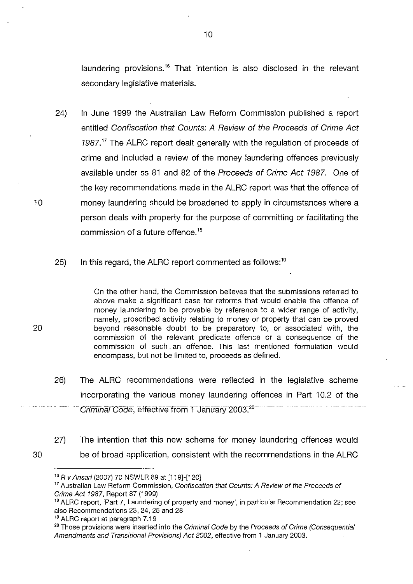laundering provisions.<sup>16</sup> That intention is also disclosed in the relevant secondary legislative materials.

- 24) In June 1999 the Australian Law Reform Commission published a report entitled Confiscation that Counts: A Review of the Proceeds of Crime Act 1987. *<sup>17</sup>*The ALRC report dealt generally with the regulation of proceeds of crime and included a review of the money laundering offences previously available under ss 81 and 82 of the Proceeds of Crime Act 1987. One of the key recommendations made in the ALRC report was that the offence of money laundering should be broadened to apply in circumstances where a person deals with property for the purpose of committing or facilitating the commission of a future offence. <sup>18</sup>
- 25) In this regard, the ALRC report commented as follows:<sup>19</sup>

On the other hand, the Commission believes that the submissions referred to above make a significant case for reforms that would enable the offence of money laundering to be provable by reference to a wider range of activity, namely, proscribed activity relating to money or property that can be proved 20 beyond reasonable doubt to be preparatory to, or associated with, the commission of the relevant predicate offence or a consequence of the commission of such . an offence. This last mentioned formulation would encompass, but not be limited to, proceeds as defined.

- 26) The ALRC recommendations were reflected in the legislative scheme incorporating the various money laundering offences in Part 10.2 of the Criminal Code, effective from 1 January 2003.<sup>20</sup>
- 30 27) The intention that this new scheme for money laundering offences would be of broad application, consistent with the recommendations in the ALRC

10

<sup>16</sup>R v Ansari (2007) 70 NSWLR 89 at [119]-[120]

<sup>&</sup>lt;sup>17</sup> Australian Law Reform Commission, Confiscation that Counts: A Review of the Proceeds of Crime Act 1987, Report 87 (1999)

<sup>&</sup>lt;sup>18</sup> ALRC report, 'Part 7, Laundering of property and money', in particular Recommendation 22; see also Recommendations 23, 24, 25 and 28<br><sup>19</sup> ALRC report at paragraph 7.19

<sup>&</sup>lt;sup>20</sup> Those provisions were inserted into the Criminal Code by the Proceeds of Crime (Consequential Amendments and Transitional Provisions) Act 2002, effective from 1 January 2003.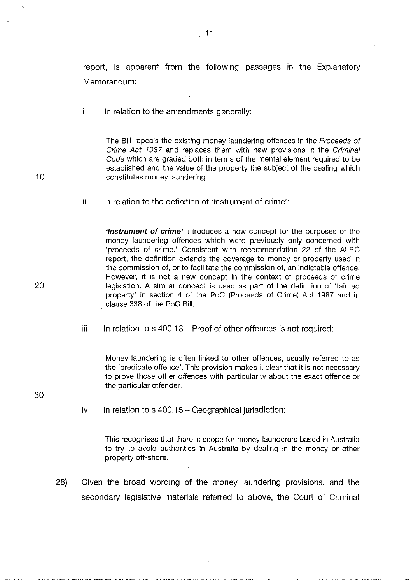report, is apparent from the following passages in the Explanatory Memorandum:

 $\mathbf{i}$ In relation to the amendments generally:

> The Bill repeals the existing money laundering offences in the Proceeds of Crime Act 1987 and replaces them with new provisions in the Criminal Code which are graded both in terms of the mental element required to be established and the value of the property the subject of the dealing which constitutes money laundering.

ii In relation to the definition of 'instrument of crime':

> **'Instrument of crime'** introduces a new concept for the purposes of the money laundering offences which were previously only concerned with 'proceeds of crime.' Consistent with recommendation 22 of the ALRC report, the definition extends the coverage to money or property used in the commission of, or to facilitate the commission of, an indictable offence. However, it is not a new concept in the context of proceeds of crime legislation. A similar concept is used as part of the definition of 'tainted property' in section 4 of the PoC (Proceeds of Crime) Act 1987 and in clause 338 of the PoC Bill.

iii In relation to s 400.13 – Proof of other offences is not required:

Money laundering is often linked to other offences, usually referred to as the 'predicate offence'. This provision makes it clear that it is not necessary to prove those other offences with particularity about the exact offence or the particular offender.

- 30
- iv In relation to s  $400.15 Geographical$  jurisdiction:

This recognises that there is scope for money launderers based in Australia to try to avoid authorities in Australia by dealing in the money or other property off-shore.

28) Given the broad wording of the money laundering provisions, and the secondary legislative materials referred to above, the Court of Criminal

11

20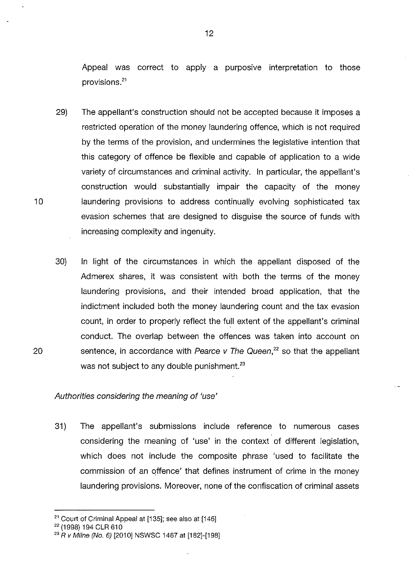Appeal was correct to apply a purposive interpretation to those provisions. <sup>21</sup>

29) The appellant's construction should not be accepted because it imposes a restricted operation of the money laundering offence, which is not required by the terms of the provision, and undermines the legislative intention that this category of offence be flexible and capable of application to a wide variety of circumstances and criminal activity. In particular, the appellant's construction would substantially impair the capacity of the money 10 laundering provisions to address continually evolving sophisticated tax evasion schemes that are designed to disguise the source of funds with increasing complexity and ingenuity.

30) In light of the circumstances in which the appellant disposed of the Admerex shares, it was consistent with both the terms of the money laundering provisions, and their intended broad application, that the indictment included both the money laundering count and the tax evasion count, in order to properly reflect the full extent of the appellant's criminal conduct. The overlap between the offences was taken into account on 20 sentence, in accordance with Pearce v The Queen,<sup>22</sup> so that the appellant was not subject to any double punishment.<sup>23</sup>

#### Authorities considering the meaning of 'use'

31) The appellant's submissions include reference to numerous cases considering the meaning of 'use' in the context of different legislation, which does not include the composite phrase 'used to facilitate the commission of an qffence' that defines instrument of crime in the money laundering provisions. Moreover, none of the confiscation of criminal assets

<sup>&</sup>lt;sup>21</sup> Court of Criminal Appeal at [135]; see also at [146]  $22$  (1998) 194 CLR 610

<sup>&</sup>lt;sup>23</sup> R *v Milne (No. 6)* [2010] NSWSC 1467 at [182]-[198]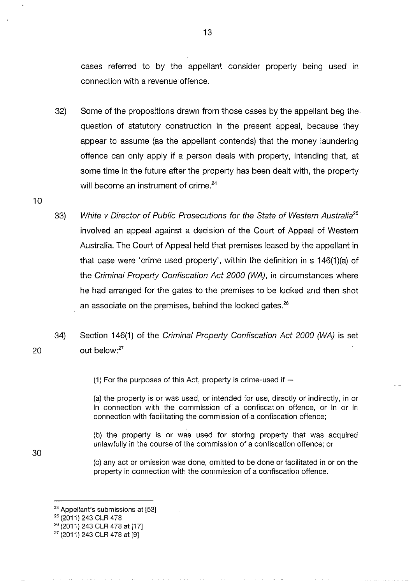cases referred to by the appellant consider property being used in connection with a revenue offence.

- 32) Some of the propositions drawn from those cases by the appellant beg the. question of statutory construction in the present appeal, because they appear to assume (as the appellant contends) that the money laundering offence can only apply if a person deals with property, intending that, at some time in the future after the property has been dealt with, the property will become an instrument of crime.<sup>24</sup>
- 33) White v Director of Public Prosecutions for the State of Western Australia*<sup>25</sup>* involved an appeal against a decision of the Court of Appeal of Western Australia. The Court of Appeal held that premises leased by the appellant in that case were 'crime used property', within the definition in s 146(1)(a) of the Criminal Property Confiscation Act 2000 (WA), in circumstances where he had arranged for the gates to the premises to be locked and then shot an associate on the premises, behind the locked gates.<sup>26</sup>
- 34) Section 146(1) of the Criminal Property Confiscation Act 2000 (WA) is set out below:<sup>27</sup>

(1) For the purposes of this Act, property is crime-used if  $-$ 

(a) the property is or was used, or intended for use, directly or indirectly, in or in connection with the commission of a confiscation offence, or in or in connection with facilitating the commission of a confiscation offence;

{b) the property is or was used for storing property that was acquired unlawfully in the course of the commission of a confiscation offence; or

(c) any act or omission was done, omitted to be done or facilitated in or on the property in connection with the commission of a confiscation offence.

20

10

<sup>&</sup>lt;sup>24</sup> Appellant's submissions at  $[53]$ <sup>25</sup> (2011) 243 CLR 478

<sup>26</sup>(2011) 243 CLR 478 at [17]

<sup>27</sup> (2011) 243 CLR 478 at [9]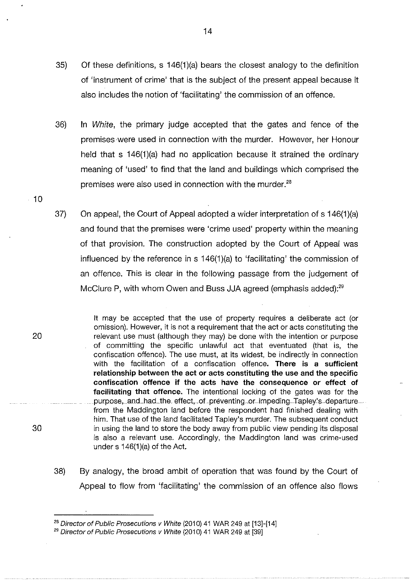- 35) Of these definitions, s 146(1)(a) bears the closest analogy to the definition of 'instrument of crime' that is the subject of the present appeal because it also includes the notion of 'facilitating' the commission of an offence.
- 36) In White, the primary judge accepted that the gates and fence of the premises were used in connection with the murder. However, her Honour held that s 146(1)(a) had no application because it strained the ordinary meaning of 'used' to find that the land and buildings which comprised the premises were also used in connection with the murder. $^{28}$
- 37) On appeal, the Court of Appeal adopted a wider interpretation of s 146(1 )(a) and found that the premises were 'crime used' property within the meaning of that provision. The construction adopted by the Court of Appeal was influenced by the reference in s 146(1)(a) to 'facilitating' the commission of an offence. This is clear in the following passage from the judgement of McClure P, with whom Owen and Buss JJA agreed (emphasis added):<sup>29</sup>

It may be accepted that the use of property requires a deliberate act (or omission). However, it is not a requirement that the act or acts constituting the relevant use must (although they may) be done with the intention or purpose of committing the specific unlawful act that eventuated (that is, the confiscation offence). The use must, at its widest, be indirectly in connection with the facilitation of a confiscation offence. **There is a sufficient relationship between the act or acts constituting the use and the specific confiscation offence if the acts have the consequence or effect of facilitating that offence.** The intentional locking of the gates was for the purpose, and had the effect, of preventing or impeding Tapley's departure from the Maddington land before the respondent had finished dealing with him. That use of the land facilitated Tapley's murder. The subsequent conduct in using the land to store the body away from public view pending its disposal is also a relevant use. Accordingly, the Maddington land was crime-used under  $s$  146(1)(a) of the Act.

38) By analogy, the broad ambit of operation that was found by the Court of Appeal to flow from 'facilitating' the commission of an offence also flows

14

20

30

 $-10$ 

<sup>&</sup>lt;sup>28</sup> Director of Public Prosecutions v White (2010) 41 WAR 249 at [13]-[14]

<sup>&</sup>lt;sup>29</sup> Director of Public Prosecutions v White (2010) 41 WAR 249 at [39]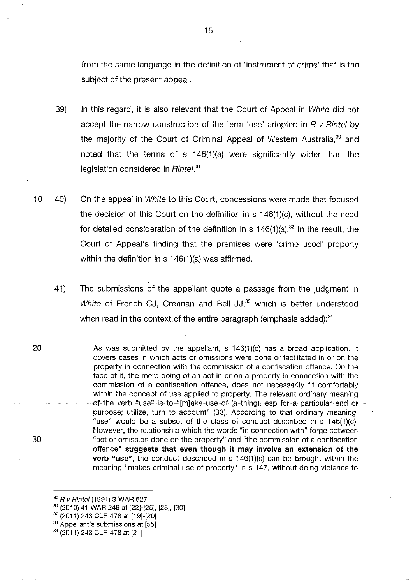from the same language in the definition of 'instrument of crime' that is the subject of the present appeal.

- 39) In this regard, it is also relevant that the Court of Appeal in White did not accept the narrow construction of the term 'use' adopted in  $R$   $v$  Rintel by the majority of the Court of Criminal Appeal of Western Australia.<sup>30</sup> and noted that the terrns of s 146(1)(a) were significantly wider than the legislation considered in Rintel.<sup>31</sup>
- 10 40) On the appeal in White to this Court, concessions were made that focused the decision of this Court on the definition in s 146(1 )(c), without the need for detailed consideration of the definition in s  $146(1)(a)$ .<sup>32</sup> In the result, the Court of Appeal's finding that the premises were 'crime used' property within the definition in  $s$  146(1)(a) was affirmed.
	- 41) The submissions of the appellant quote a passage from the judgment in White of French CJ, Crennan and Bell JJ,<sup>33</sup> which is better understood when read in the context of the entire paragraph (emphasis added):<sup>34</sup>
- 20 30 As was submitted by the appellant, s  $146(1)(c)$  has a broad application. It covers cases in which acts or omissions were done or facilitated in or on the property in connection with the commission of a confiscation offence. On the face of it, the mere doing of an act in or on a property in connection with the commission of a confiscation offence, does not necessarily fit comfortably within the concept of use applied to property. The relevant ordinary meaning of the verb "use" is to "[m]ake use of (a thing), esp for a particular end or purpose; utilize, turn to account" (33). According to that ordinary meaning, "use" would be a subset of the class of conduct described in  $s$  146(1)(c). However, the relationship which the words "in connection with" forge between "act or omission done on the property" and "the commission of a confiscation offence" **suggests that even though it may involve an extension of the verb "use",** the conduct described in s 146(1)(c) can be brought within the meaning "makes criminal use of property" in s 147, without doing violence to

- 
- <sup>33</sup> Appellant's submissions at [55]

<sup>&</sup>lt;sup>30</sup> R v Rintel (1991) 3 WAR 527

<sup>&</sup>lt;sup>31</sup> (2010) 41 WAR 249 at [22]-[25], [28], [30]<br><sup>32</sup> (2011) 243 CLR 478 at [19]-[20]

<sup>34</sup>(2011) 243 CLR 478 at [21]